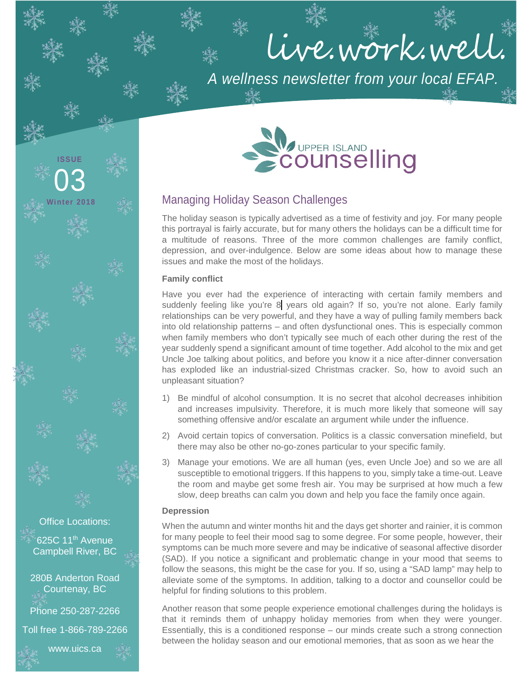# live.work.well.

*A wellness newsletter from your local EFAP.*



## Managing Holiday Season Challenges

The holiday season is typically advertised as a time of festivity and joy. For many people this portrayal is fairly accurate, but for many others the holidays can be a difficult time for a multitude of reasons. Three of the more common challenges are family conflict, depression, and over-indulgence. Below are some ideas about how to manage these issues and make the most of the holidays.

#### **Family conflict**

**ISSUE**

03

**Winter 2018**

Office Locations:

625C 11<sup>th</sup> Avenue Campbell River, BC

280B Anderton Road Courtenay, BC

Phone 250-287-2266

Toll free 1-866-789-2266

www.uics.ca

Have you ever had the experience of interacting with certain family members and suddenly feeling like you're 8 years old again? If so, you're not alone. Early family relationships can be very powerful, and they have a way of pulling family members back into old relationship patterns – and often dysfunctional ones. This is especially common when family members who don't typically see much of each other during the rest of the year suddenly spend a significant amount of time together. Add alcohol to the mix and get Uncle Joe talking about politics, and before you know it a nice after-dinner conversation has exploded like an industrial-sized Christmas cracker. So, how to avoid such an unpleasant situation?

- 1) Be mindful of alcohol consumption. It is no secret that alcohol decreases inhibition and increases impulsivity. Therefore, it is much more likely that someone will say something offensive and/or escalate an argument while under the influence.
- 2) Avoid certain topics of conversation. Politics is a classic conversation minefield, but there may also be other no-go-zones particular to your specific family.
- 3) Manage your emotions. We are all human (yes, even Uncle Joe) and so we are all susceptible to emotional triggers. If this happens to you, simply take a time-out. Leave the room and maybe get some fresh air. You may be surprised at how much a few slow, deep breaths can calm you down and help you face the family once again.

#### **Depression**

When the autumn and winter months hit and the days get shorter and rainier, it is common for many people to feel their mood sag to some degree. For some people, however, their symptoms can be much more severe and may be indicative of seasonal affective disorder (SAD). If you notice a significant and problematic change in your mood that seems to follow the seasons, this might be the case for you. If so, using a "SAD lamp" may help to alleviate some of the symptoms. In addition, talking to a doctor and counsellor could be helpful for finding solutions to this problem.

Another reason that some people experience emotional challenges during the holidays is that it reminds them of unhappy holiday memories from when they were younger. Essentially, this is a conditioned response – our minds create such a strong connection between the holiday season and our emotional memories, that as soon as we hear the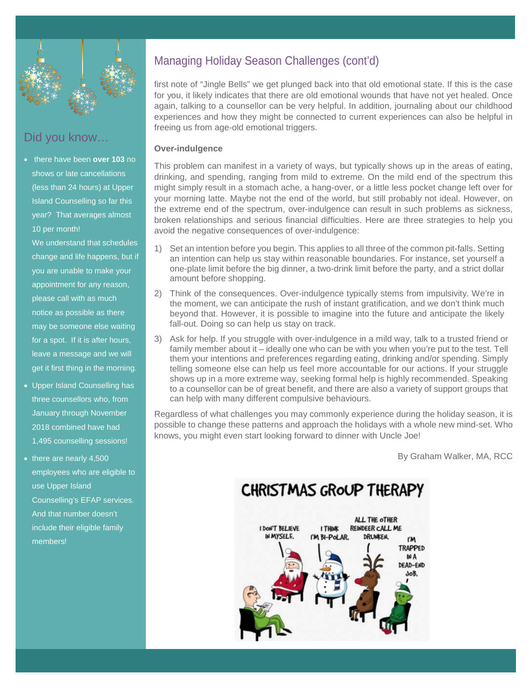

# Did you know…

• there have been **over 103** no shows or late cancellations (less than 24 hours) at Upper Island Counselling so far this year? That averages almost 10 per month!

We understand that schedules change and life happens, but if you are unable to make your appointment for any reason, please call with as much notice as possible as there may be someone else waiting for a spot. If it is after hours, leave a message and we will get it first thing in the morning.

- Upper Island Counselling has three counsellors who, from January through November 2018 combined have had 1,495 counselling sessions!
- there are nearly 4,500 employees who are eligible to use Upper Island Counselling's EFAP services. And that number doesn't include their eligible family members!

# Managing Holiday Season Challenges (cont'd)

first note of "Jingle Bells" we get plunged back into that old emotional state. If this is the case for you, it likely indicates that there are old emotional wounds that have not yet healed. Once again, talking to a counsellor can be very helpful. In addition, journaling about our childhood experiences and how they might be connected to current experiences can also be helpful in freeing us from age-old emotional triggers.

#### **Over-indulgence**

This problem can manifest in a variety of ways, but typically shows up in the areas of eating, drinking, and spending, ranging from mild to extreme. On the mild end of the spectrum this might simply result in a stomach ache, a hang-over, or a little less pocket change left over for your morning latte. Maybe not the end of the world, but still probably not ideal. However, on the extreme end of the spectrum, over-indulgence can result in such problems as sickness, broken relationships and serious financial difficulties. Here are three strategies to help you avoid the negative consequences of over-indulgence:

- 1) Set an intention before you begin. This applies to all three of the common pit-falls. Setting an intention can help us stay within reasonable boundaries. For instance, set yourself a one-plate limit before the big dinner, a two-drink limit before the party, and a strict dollar amount before shopping.
- 2) Think of the consequences. Over-indulgence typically stems from impulsivity. We're in the moment, we can anticipate the rush of instant gratification, and we don't think much beyond that. However, it is possible to imagine into the future and anticipate the likely fall-out. Doing so can help us stay on track.
- 3) Ask for help. If you struggle with over-indulgence in a mild way, talk to a trusted friend or family member about it – ideally one who can be with you when you're put to the test. Tell them your intentions and preferences regarding eating, drinking and/or spending. Simply telling someone else can help us feel more accountable for our actions. If your struggle shows up in a more extreme way, seeking formal help is highly recommended. Speaking to a counsellor can be of great benefit, and there are also a variety of support groups that can help with many different compulsive behaviours.

Regardless of what challenges you may commonly experience during the holiday season, it is possible to change these patterns and approach the holidays with a whole new mind-set. Who knows, you might even start looking forward to dinner with Uncle Joe!

By Graham Walker, MA, RCC

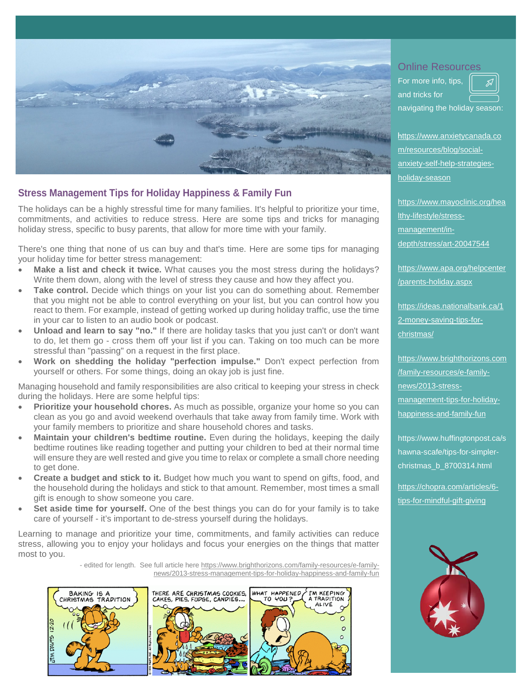

## **Stress Management Tips for Holiday Happiness & Family Fun**

The holidays can be a highly stressful time for many families. It's helpful to prioritize your time, commitments, and activities to reduce stress. Here are some tips and tricks for managing holiday stress, specific to busy parents, that allow for more time with your family.

There's one thing that none of us can buy and that's time. Here are some tips for managing your holiday time for better stress management:

- Make a list and check it twice. What causes you the most stress during the holidays? Write them down, along with the level of stress they cause and how they affect you.
- **Take control.** Decide which things on your list you can do something about. Remember that you might not be able to control everything on your list, but you can control how you react to them. For example, instead of getting worked up during holiday traffic, use the time in your car to listen to an audio book or podcast.
- **Unload and learn to say "no."** If there are holiday tasks that you just can't or don't want to do, let them go - cross them off your list if you can. Taking on too much can be more stressful than "passing" on a request in the first place.
- **Work on shedding the holiday "perfection impulse."** Don't expect perfection from yourself or others. For some things, doing an okay job is just fine.

Managing household and family responsibilities are also critical to keeping your stress in check during the holidays. Here are some helpful tips:

- **Prioritize your household chores.** As much as possible, organize your home so you can clean as you go and avoid weekend overhauls that take away from family time. Work with your family members to prioritize and share household chores and tasks.
- **Maintain your children's bedtime routine.** Even during the holidays, keeping the daily bedtime routines like reading together and putting your children to bed at their normal time will ensure they are well rested and give you time to relax or complete a small chore needing to get done.
- **Create a budget and stick to it.** Budget how much you want to spend on gifts, food, and the household during the holidays and stick to that amount. Remember, most times a small gift is enough to show someone you care.
- **Set aside time for yourself.** One of the best things you can do for your family is to take care of yourself - it's important to de-stress yourself during the holidays.

Learning to manage and prioritize your time, commitments, and family activities can reduce stress, allowing you to enjoy your holidays and focus your energies on the things that matter most to you.

> - edited for length. See full article her[e https://www.brighthorizons.com/family-resources/e-family](https://www.brighthorizons.com/family-resources/e-family-news/2013-stress-management-tips-for-holiday-happiness-and-family-fun)[news/2013-stress-management-tips-for-holiday-happiness-and-family-fun](https://www.brighthorizons.com/family-resources/e-family-news/2013-stress-management-tips-for-holiday-happiness-and-family-fun)



#### Online Resources

For more info, tips, and tricks for navigating the holiday season:

h[ttps://www.anxietycanada.co](https://www.anxietycanada.com/resources/blog/social-anxiety-self-help-strategies-holiday-season) [m/resources/blog/social](https://www.anxietycanada.com/resources/blog/social-anxiety-self-help-strategies-holiday-season)[anxiety-self-help-strategies](https://www.anxietycanada.com/resources/blog/social-anxiety-self-help-strategies-holiday-season)[holiday-season](https://www.anxietycanada.com/resources/blog/social-anxiety-self-help-strategies-holiday-season)

[https://www.mayoclinic.org/hea](https://www.mayoclinic.org/healthy-lifestyle/stress-management/in-depth/stress/art-20047544) [lthy-lifestyle/stress](https://www.mayoclinic.org/healthy-lifestyle/stress-management/in-depth/stress/art-20047544)[management/in](https://www.mayoclinic.org/healthy-lifestyle/stress-management/in-depth/stress/art-20047544)[depth/stress/art-20047544](https://www.mayoclinic.org/healthy-lifestyle/stress-management/in-depth/stress/art-20047544)

[https://www.apa.org/helpcenter](https://www.apa.org/helpcenter/parents-holiday.aspx) [/parents-holiday.aspx](https://www.apa.org/helpcenter/parents-holiday.aspx)

[https://ideas.nationalbank.ca/1](https://ideas.nationalbank.ca/12-money-saving-tips-for-christmas/) [2-money-saving-tips-for](https://ideas.nationalbank.ca/12-money-saving-tips-for-christmas/)[christmas/](https://ideas.nationalbank.ca/12-money-saving-tips-for-christmas/)

[https://www.brighthorizons.com](https://www.brighthorizons.com/family-resources/e-family-news/2013-stress-management-tips-for-holiday-happiness-and-family-fun) [/family-resources/e-family](https://www.brighthorizons.com/family-resources/e-family-news/2013-stress-management-tips-for-holiday-happiness-and-family-fun)[news/2013-stress](https://www.brighthorizons.com/family-resources/e-family-news/2013-stress-management-tips-for-holiday-happiness-and-family-fun)[management-tips-for-holiday](https://www.brighthorizons.com/family-resources/e-family-news/2013-stress-management-tips-for-holiday-happiness-and-family-fun)[happiness-and-family-fun](https://www.brighthorizons.com/family-resources/e-family-news/2013-stress-management-tips-for-holiday-happiness-and-family-fun)

https://www.huffingtonpost.ca/s hawna-scafe/tips-for-simplerchristmas\_b\_8700314.html

[https://chopra.com/articles/6](https://chopra.com/articles/6-tips-for-mindful-gift-#giving) [tips-for-mindful-gift-giving](https://chopra.com/articles/6-tips-for-mindful-gift-#giving)